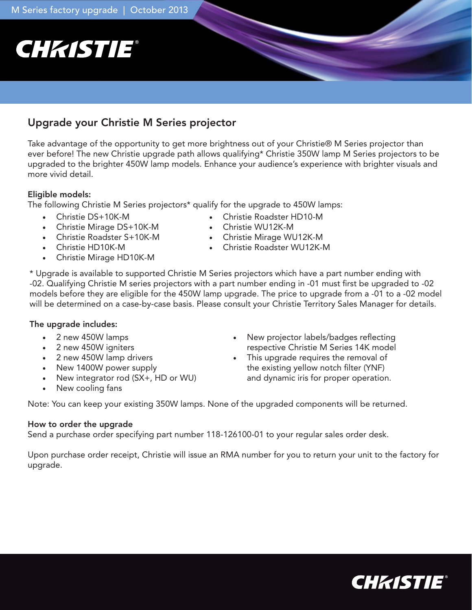# **CHKISTIE®**

# Upgrade your Christie M Series projector

Take advantage of the opportunity to get more brightness out of your Christie® M Series projector than ever before! The new Christie upgrade path allows qualifying\* Christie 350W lamp M Series projectors to be upgraded to the brighter 450W lamp models. Enhance your audience's experience with brighter visuals and more vivid detail.

# Eligible models:

The following Christie M Series projectors\* qualify for the upgrade to 450W lamps:

- • Christie DS+10K-M
- • Christie Mirage DS+10K-M
- • Christie Roadster S+10K-M
- • Christie HD10K-M
- Christie Mirage HD10K-M
- • Christie Roadster HD10-M
- • Christie WU12K-M
- • Christie Mirage WU12K-M
- • Christie Roadster WU12K-M

\* Upgrade is available to supported Christie M Series projectors which have a part number ending with -02. Qualifying Christie M series projectors with a part number ending in -01 must first be upgraded to -02 models before they are eligible for the 450W lamp upgrade. The price to upgrade from a -01 to a -02 model will be determined on a case-by-case basis. Please consult your Christie Territory Sales Manager for details.

# The upgrade includes:

- 2 new 450W lamps
- • 2 new 450W igniters
- • 2 new 450W lamp drivers
- New 1400W power supply
- New integrator rod (SX+, HD or WU)
- New cooling fans
- New projector labels/badges reflecting respective Christie M Series 14K model
- • This upgrade requires the removal of the existing yellow notch filter (YNF) and dynamic iris for proper operation.

Note: You can keep your existing 350W lamps. None of the upgraded components will be returned.

## How to order the upgrade

Send a purchase order specifying part number 118-126100-01 to your regular sales order desk.

Upon purchase order receipt, Christie will issue an RMA number for you to return your unit to the factory for upgrade.